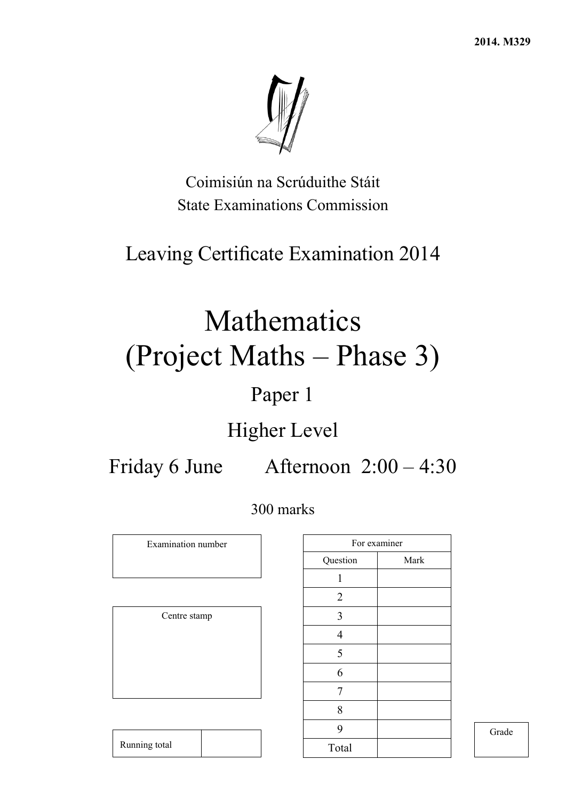**2014. M329** 



Coimisiún na Scrúduithe Stáit State Examinations Commission

# Leaving Certificate Examination 2014

# Mathematics (Project Maths – Phase 3)

# Paper 1

# Higher Level

Friday 6 June Afternoon 2:00 – 4:30

# 300 marks

Examination number

Centre stamp

Running total

| For examiner   |      |
|----------------|------|
| Question       | Mark |
| 1              |      |
| $\overline{2}$ |      |
| $\mathfrak{Z}$ |      |
| $\overline{4}$ |      |
| 5              |      |
| 6              |      |
| 7              |      |
| 8              |      |
| 9              |      |
| Total          |      |

Grade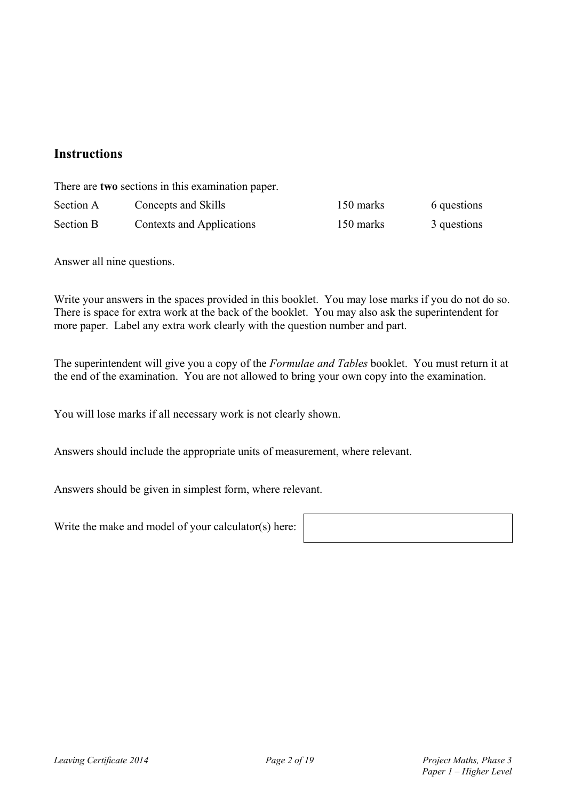## **Instructions**

There are **two** sections in this examination paper.

| Section A | Concepts and Skills       | 150 marks | 6 questions |
|-----------|---------------------------|-----------|-------------|
| Section B | Contexts and Applications | 150 marks | 3 questions |

Answer all nine questions.

Write your answers in the spaces provided in this booklet. You may lose marks if you do not do so. There is space for extra work at the back of the booklet. You may also ask the superintendent for more paper. Label any extra work clearly with the question number and part.

The superintendent will give you a copy of the *Formulae and Tables* booklet. You must return it at the end of the examination. You are not allowed to bring your own copy into the examination.

You will lose marks if all necessary work is not clearly shown.

Answers should include the appropriate units of measurement, where relevant.

Answers should be given in simplest form, where relevant.

Write the make and model of your calculator(s) here: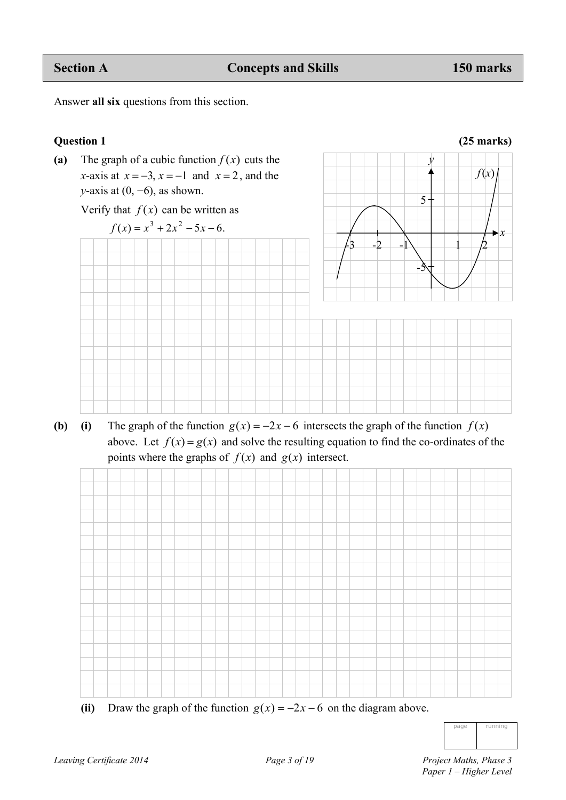*f*(*x*)

*y* 

 $\overline{5}$ 

Answer **all six** questions from this section.

### **Question 1 (25 marks)**



Verify that  $f(x)$  can be written as



**(b)** (i) The graph of the function  $g(x) = -2x - 6$  intersects the graph of the function  $f(x)$ above. Let  $f(x) = g(x)$  and solve the resulting equation to find the co-ordinates of the points where the graphs of  $f(x)$  and  $g(x)$  intersect.



(ii) Draw the graph of the function  $g(x) = -2x - 6$  on the diagram above.

| page | running |
|------|---------|
|      |         |
|      |         |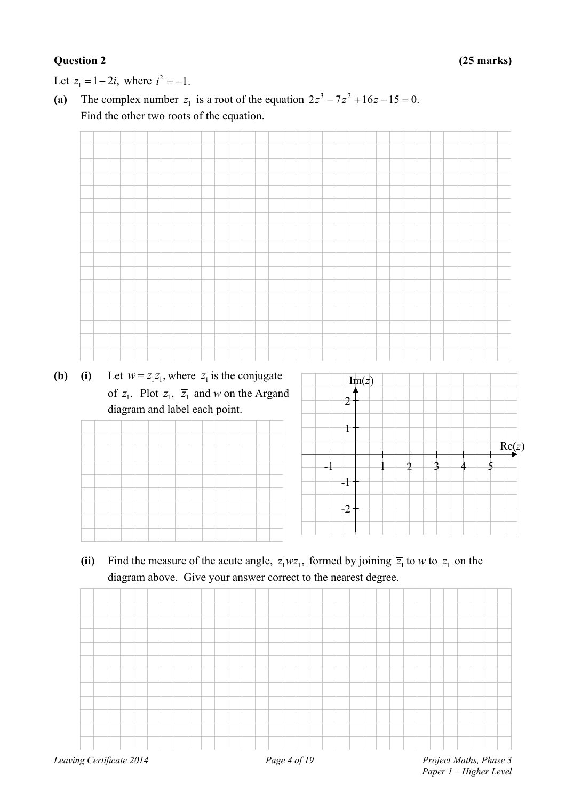Let  $z_1 = 1 - 2i$ , where  $i^2 = -1$ .

(a) The complex number  $z_1$  is a root of the equation  $2z^3 - 7z^2 + 16z - 15 = 0$ . Find the other two roots of the equation.

| (i) Let $w = z_1 \overline{z_1}$ , where $\overline{z_1}$ is the conjugate |  |  |  |  |  |                |       |  |   |   |  |   |       |
|----------------------------------------------------------------------------|--|--|--|--|--|----------------|-------|--|---|---|--|---|-------|
| of $z_1$ . Plot $z_1$ , $\overline{z_1}$ and w on the Argand               |  |  |  |  |  |                | Im(z) |  |   |   |  |   |       |
| diagram and label each point.                                              |  |  |  |  |  | $\overline{2}$ |       |  |   |   |  |   |       |
|                                                                            |  |  |  |  |  | $\mathbf{1}$   |       |  |   |   |  |   |       |
|                                                                            |  |  |  |  |  |                |       |  |   |   |  |   | Re(z) |
|                                                                            |  |  |  |  |  |                |       |  | 2 | 3 |  | 5 |       |
|                                                                            |  |  |  |  |  | $-1$           |       |  |   |   |  |   |       |

(ii) Find the measure of the acute angle,  $\overline{z_1}wz_1$ , formed by joining  $\overline{z_1}$  to *w* to  $z_1$  on the diagram above. Give your answer correct to the nearest degree.

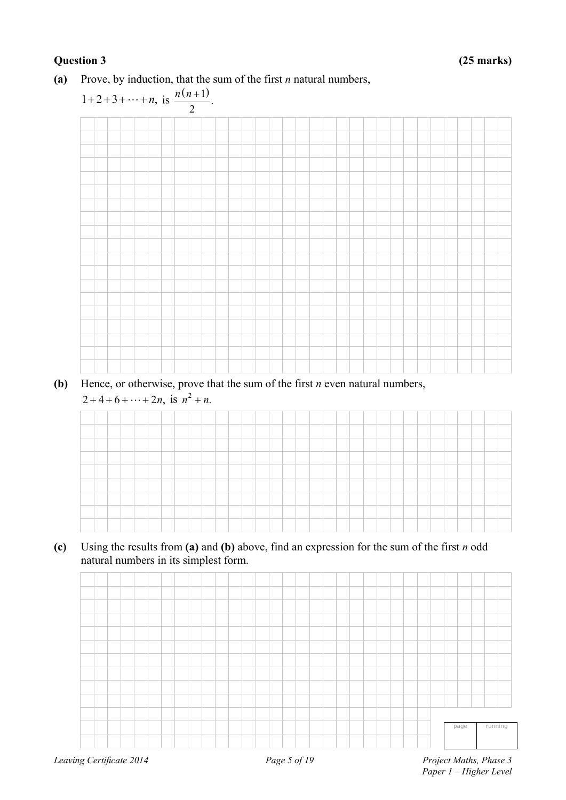### **(a)** Prove, by induction, that the sum of the first *n* natural numbers,



**(b)** Hence, or otherwise, prove that the sum of the first *n* even natural numbers,  $2 + 4 + 6 + \dots + 2n$ , is  $n^2 + n$ .



**(c)** Using the results from **(a)** and **(b)** above, find an expression for the sum of the first *n* odd natural numbers in its simplest form.

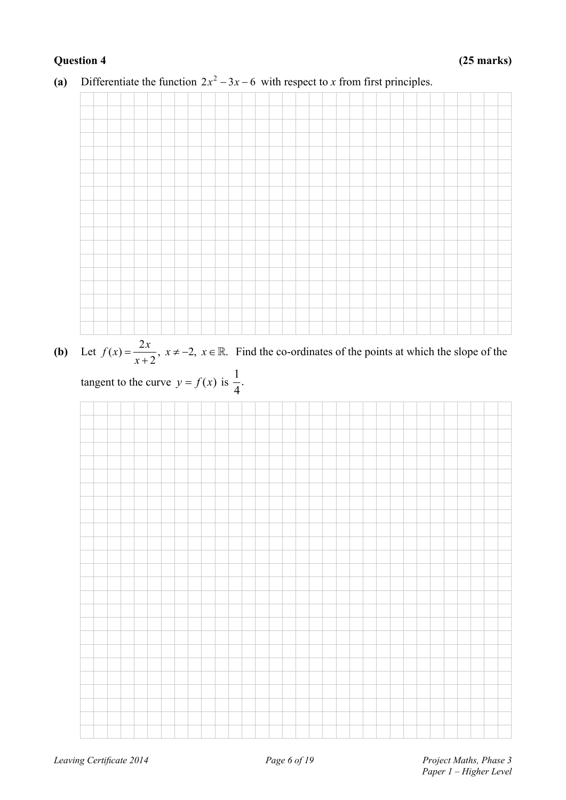

(a) Differentiate the function  $2x^2 - 3x - 6$  with respect to *x* from first principles.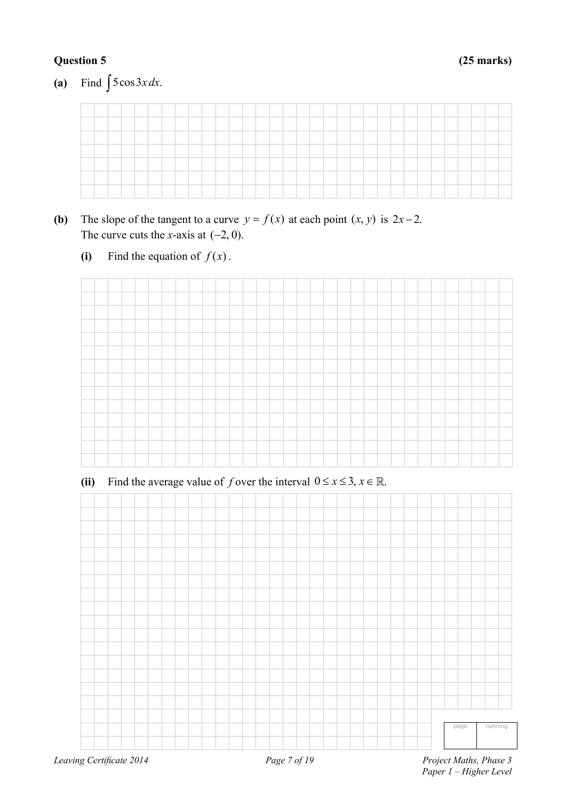### **Question 5 (25 marks)**

(a) Find  $\int 5\cos 3x \, dx$ .

- **(b)** The slope of the tangent to a curve  $y = f(x)$  at each point  $(x, y)$  is  $2x 2$ . The curve cuts the *x*-axis at  $(-2, 0)$ .
	- **(i)** Find the equation of  $f(x)$ .



(ii) Find the average value of *f* over the interval  $0 \le x \le 3$ ,  $x \in \mathbb{R}$ .

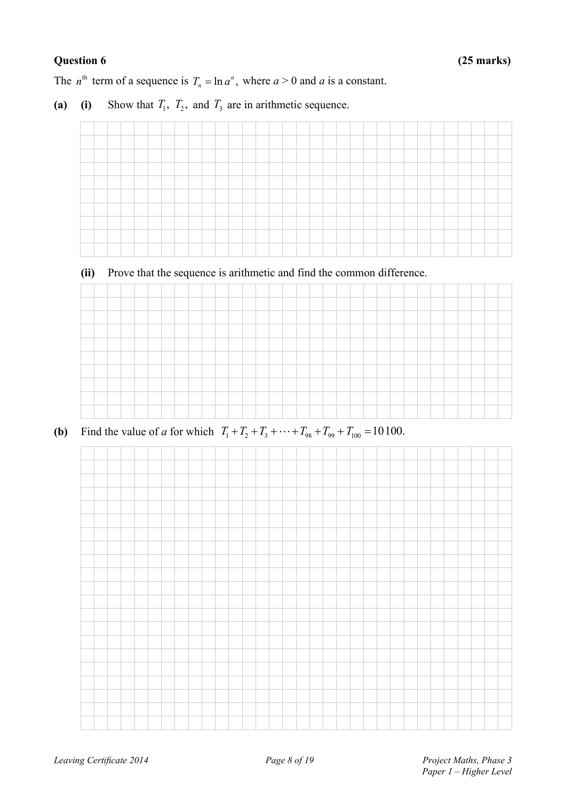The  $n^{\text{th}}$  term of a sequence is  $T_n = \ln a^n$ , where  $a > 0$  and a is a constant.

(a) (i) Show that  $T_1$ ,  $T_2$ , and  $T_3$  are in arithmetic sequence.

### **(ii)** Prove that the sequence is arithmetic and find the common difference.

# **(b)** Find the value of *a* for which  $T_1 + T_2 + T_3 + \cdots + T_{98} + T_{99} + T_{100} = 10100$ .

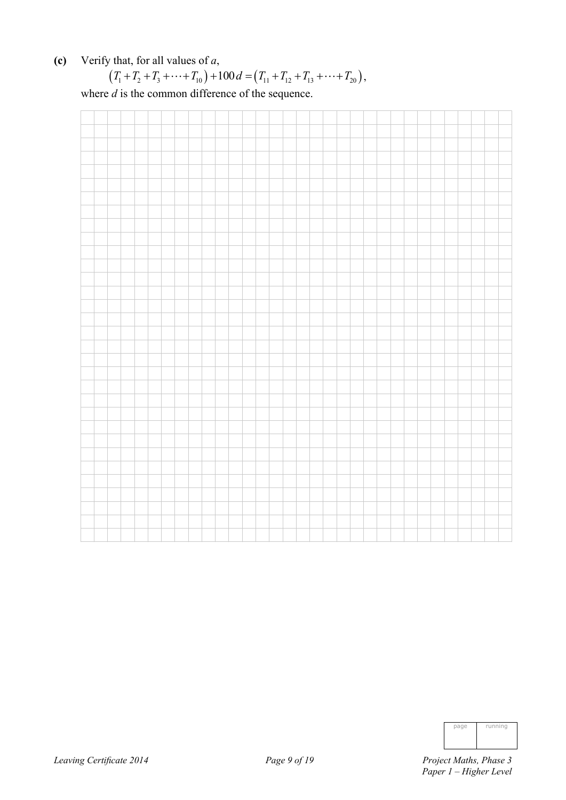**(c)** Verify that, for all values of *a*,

$$
(T_1+T_2+T_3+\cdots+T_{10})+100 d=(T_{11}+T_{12}+T_{13}+\cdots+T_{20}),
$$

where  $d$  is the common difference of the sequence.



| page | running |
|------|---------|
|      |         |
|      |         |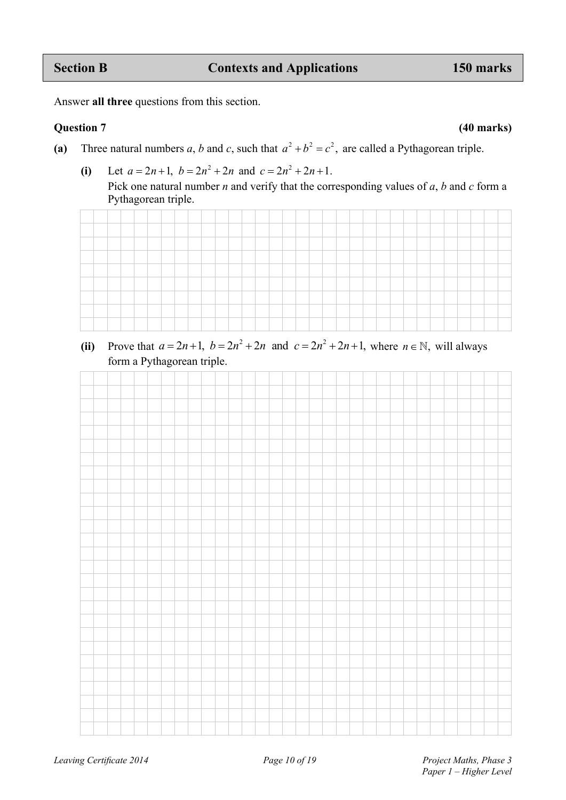Answer **all three** questions from this section.

### **Question 7 (40 marks)**

- (a) Three natural numbers *a*, *b* and *c*, such that  $a^2 + b^2 = c^2$ , are called a Pythagorean triple.
	- (i) Let  $a = 2n + 1$ ,  $b = 2n^2 + 2n$  and  $c = 2n^2 + 2n + 1$ .

Pick one natural number *n* and verify that the corresponding values of *a*, *b* and *c* form a Pythagorean triple.



(ii) Prove that  $a = 2n + 1$ ,  $b = 2n^2 + 2n$  and  $c = 2n^2 + 2n + 1$ , where  $n \in \mathbb{N}$ , will always form a Pythagorean triple.

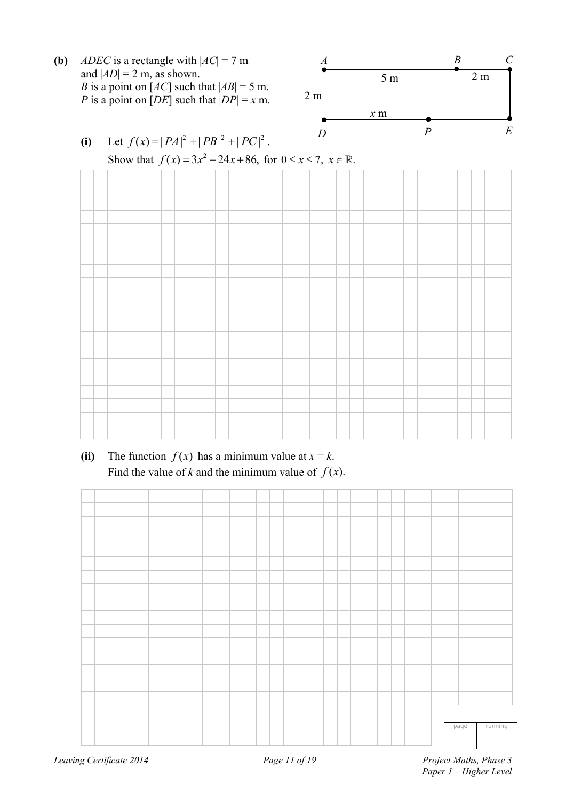





(ii) The function  $f(x)$  has a minimum value at  $x = k$ . Find the value of *k* and the minimum value of  $f(x)$ .

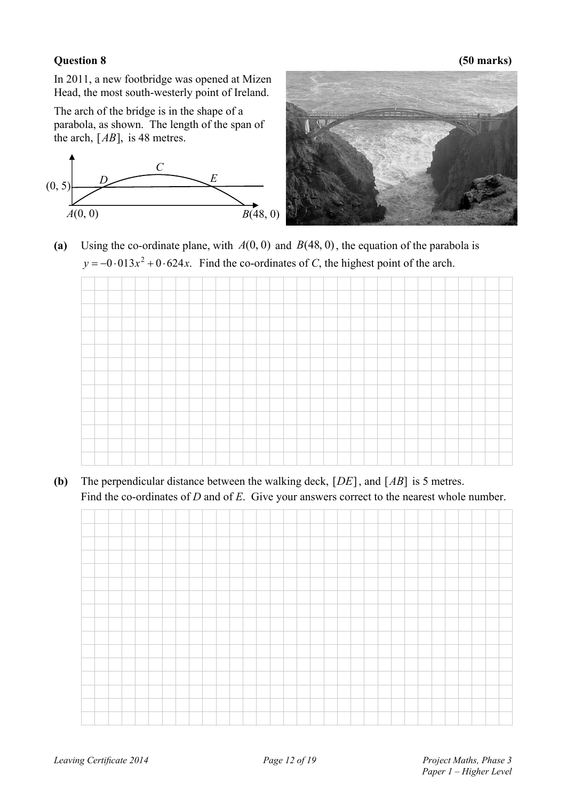### **Question 8 (50 marks)**

In 2011, a new footbridge was opened at Mizen Head, the most south-westerly point of Ireland.

The arch of the bridge is in the shape of a parabola, as shown. The length of the span of the arch,  $[AB]$ , is 48 metres.





**(a)** Using the co-ordinate plane, with *A*(0, 0) and *B*(48, 0), the equation of the parabola is  $y = -0.013x^2 + 0.624x$ . Find the co-ordinates of *C*, the highest point of the arch.

**(b)** The perpendicular distance between the walking deck, [*DE*], and [*AB*] is 5 metres. Find the co-ordinates of *D* and of *E*. Give your answers correct to the nearest whole number.

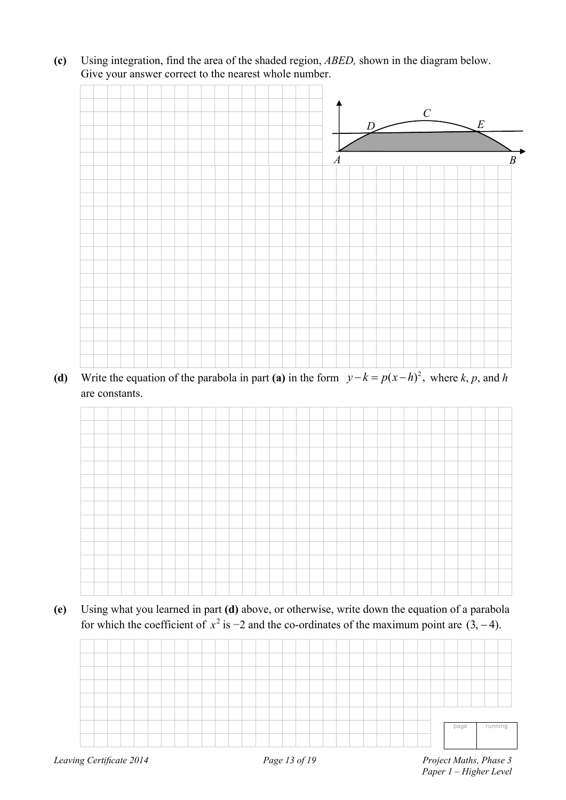**(c)** Using integration, find the area of the shaded region, *ABED,* shown in the diagram below. Give your answer correct to the nearest whole number.



**(d)** Write the equation of the parabola in part **(a)** in the form  $y - k = p(x - h)^2$ , where *k*, *p*, and *h* are constants.



**(e)** Using what you learned in part **(d)** above, or otherwise, write down the equation of a parabola for which the coefficient of  $x^2$  is  $-2$  and the co-ordinates of the maximum point are  $(3, -4)$ .

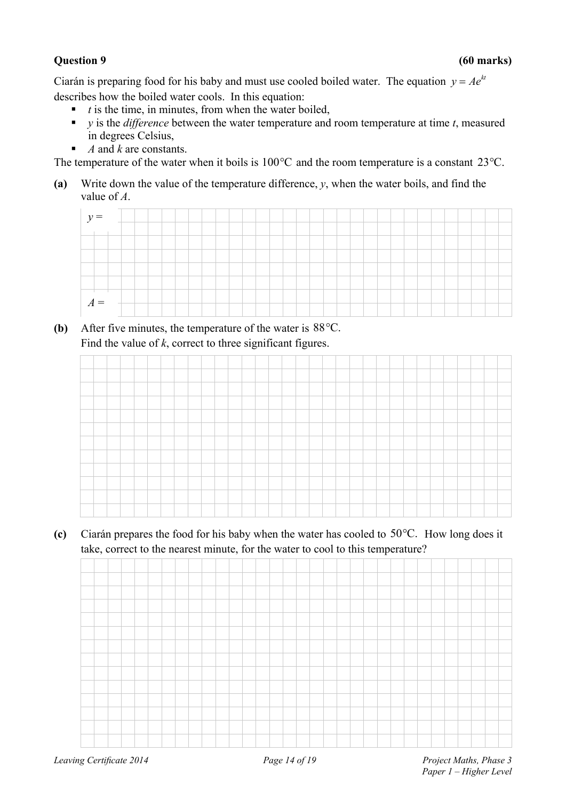Ciarán is preparing food for his baby and must use cooled boiled water. The equation  $y = Ae^{kt}$ describes how the boiled water cools. In this equation:

- $\bullet$  *t* is the time, in minutes, from when the water boiled,
- $\bullet$  *y* is the *difference* between the water temperature and room temperature at time *t*, measured in degrees Celsius,
- *A* and *k* are constants.

The temperature of the water when it boils is  $100^{\circ}$ C and the room temperature is a constant 23 $^{\circ}$ C.

**(a)** Write down the value of the temperature difference, *y*, when the water boils, and find the value of *A*.



**(b)** After five minutes, the temperature of the water is 88<sup>o</sup>C. Find the value of *k*, correct to three significant figures.



(c) Ciarán prepares the food for his baby when the water has cooled to  $50^{\circ}$ C. How long does it take, correct to the nearest minute, for the water to cool to this temperature?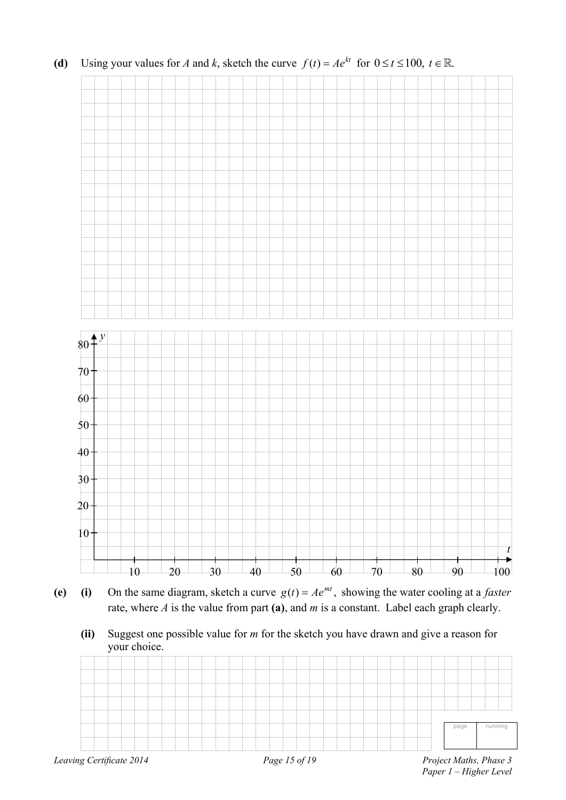

**(d)** Using your values for *A* and *k*, sketch the curve  $f(t) = Ae^{kt}$  for  $0 \le t \le 100$ ,  $t \in \mathbb{R}$ .

- **(e)** (i) On the same diagram, sketch a curve  $g(t) = Ae^{mt}$ , showing the water cooling at a *faster*  rate, where *A* is the value from part **(a)**, and *m* is a constant. Label each graph clearly.
	- **(ii)** Suggest one possible value for *m* for the sketch you have drawn and give a reason for your choice.

|  |  |  |  |  |  |  |  |  |  |  |  |  |  | page | running |  |
|--|--|--|--|--|--|--|--|--|--|--|--|--|--|------|---------|--|
|  |  |  |  |  |  |  |  |  |  |  |  |  |  |      |         |  |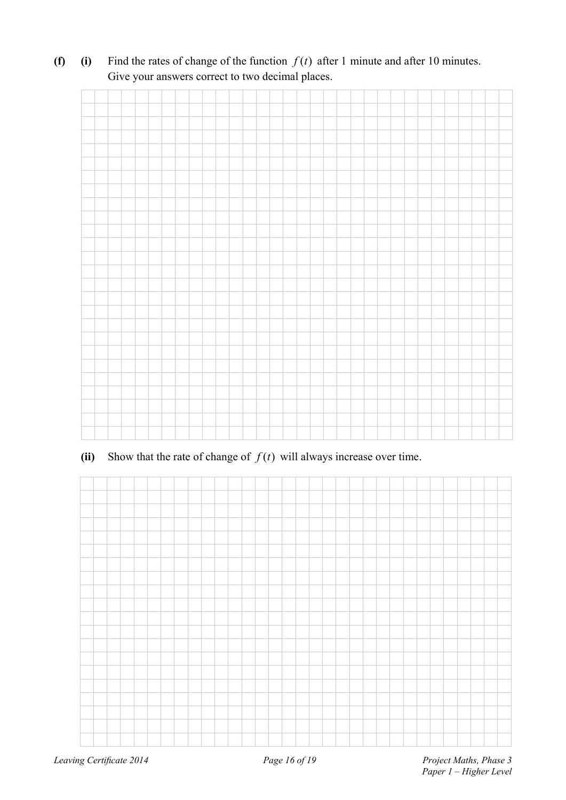**(f)** (i) Find the rates of change of the function  $f(t)$  after 1 minute and after 10 minutes. Give your answers correct to two decimal places.

**(ii)** Show that the rate of change of  $f(t)$  will always increase over time.

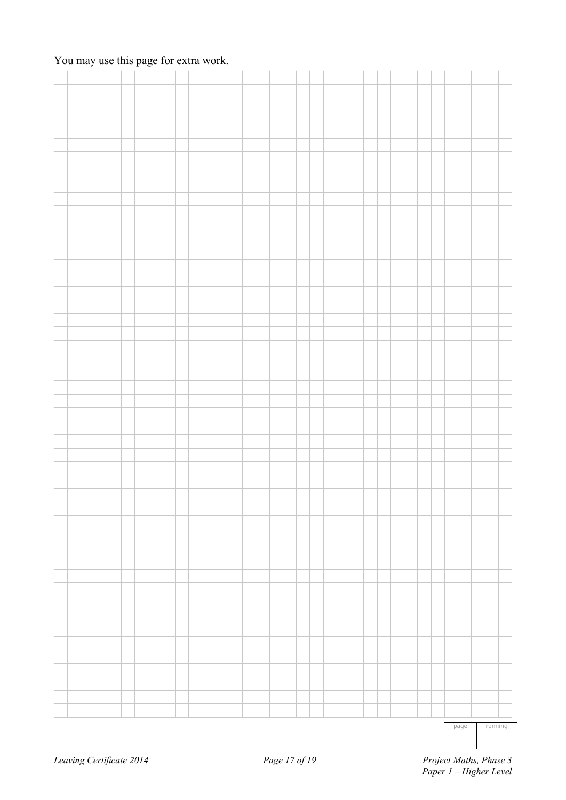# You may use this page for extra work.

| $p = p = q = \frac{p}{p}$ |
|---------------------------|

page running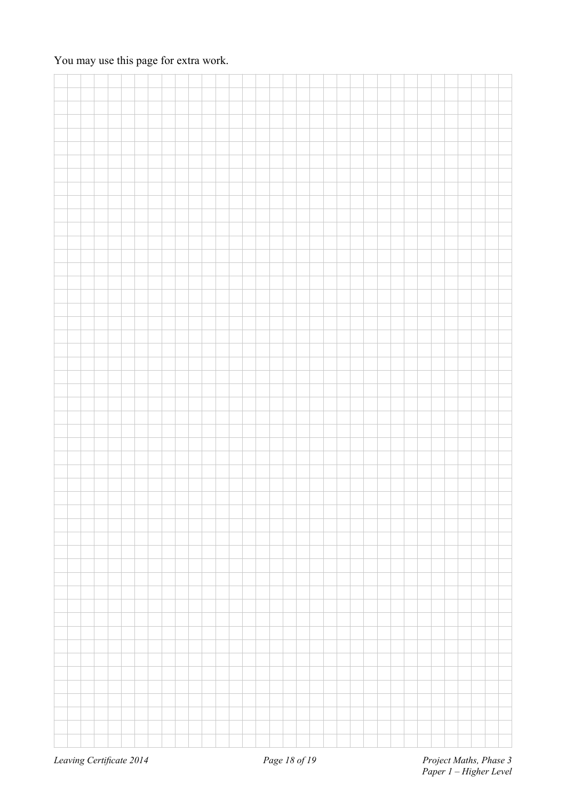# You may use this page for extra work.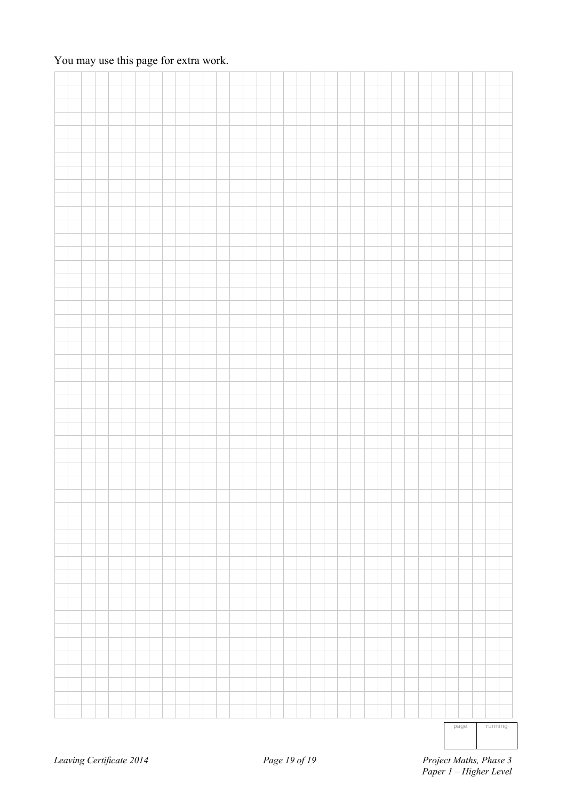# You may use this page for extra work.

page running